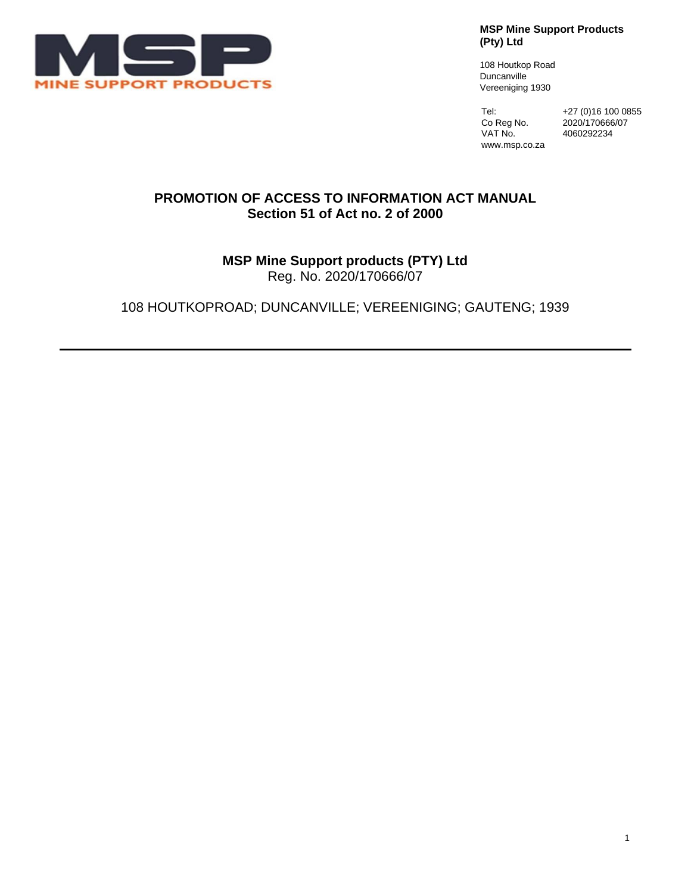

**MSP Mine Support Products (Pty) Ltd**

108 Houtkop Road Duncanville Vereeniging 1930

www.msp.co.za

Tel: +27 (0)16 100 0855 Co Reg No. 2020/170666/07<br>VAT No. 4060292234 4060292234

#### **PROMOTION OF ACCESS TO INFORMATION ACT MANUAL Section 51 of Act no. 2 of 2000**

# **MSP Mine Support products (PTY) Ltd**

Reg. No. 2020/170666/07

108 HOUTKOPROAD; DUNCANVILLE; VEREENIGING; GAUTENG; 1939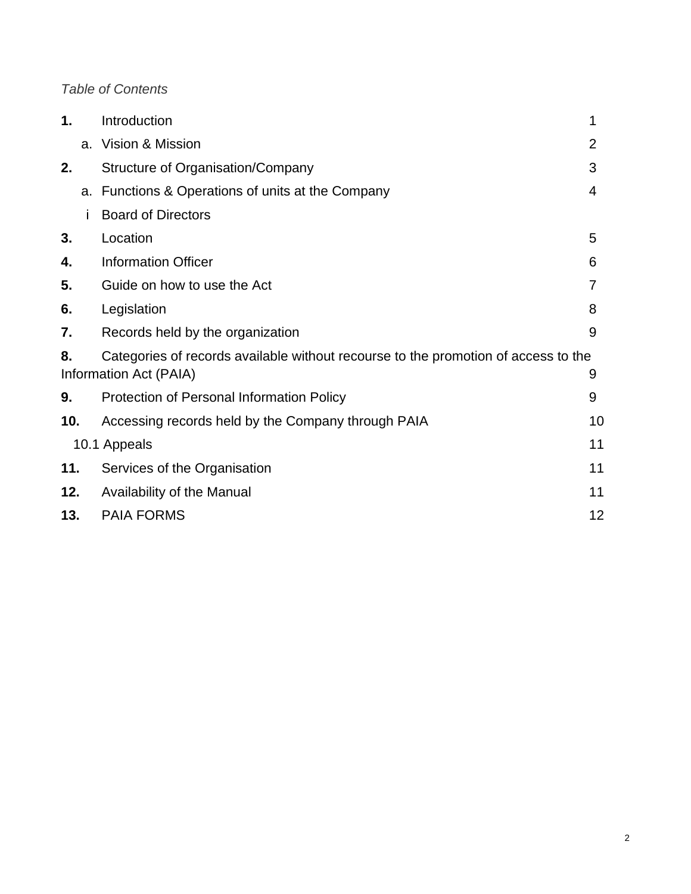# *Table of Contents*

| 1.           |    | Introduction                                                                                                 | 1  |
|--------------|----|--------------------------------------------------------------------------------------------------------------|----|
|              |    | a. Vision & Mission                                                                                          | 2  |
| 2.           |    | Structure of Organisation/Company                                                                            | 3  |
|              | a. | Functions & Operations of units at the Company                                                               | 4  |
|              |    | <b>Board of Directors</b>                                                                                    |    |
| 3.           |    | Location                                                                                                     | 5  |
| 4.           |    | <b>Information Officer</b>                                                                                   | 6  |
| 5.           |    | Guide on how to use the Act                                                                                  | 7  |
| 6.           |    | Legislation                                                                                                  | 8  |
| 7.           |    | Records held by the organization                                                                             | 9  |
| 8.           |    | Categories of records available without recourse to the promotion of access to the<br>Information Act (PAIA) | 9  |
| 9.           |    | Protection of Personal Information Policy                                                                    | 9  |
| 10.          |    | Accessing records held by the Company through PAIA                                                           | 10 |
| 10.1 Appeals |    |                                                                                                              | 11 |
| 11.          |    | Services of the Organisation                                                                                 | 11 |
| 12.          |    | Availability of the Manual                                                                                   | 11 |
| 13.          |    | <b>PAIA FORMS</b>                                                                                            | 12 |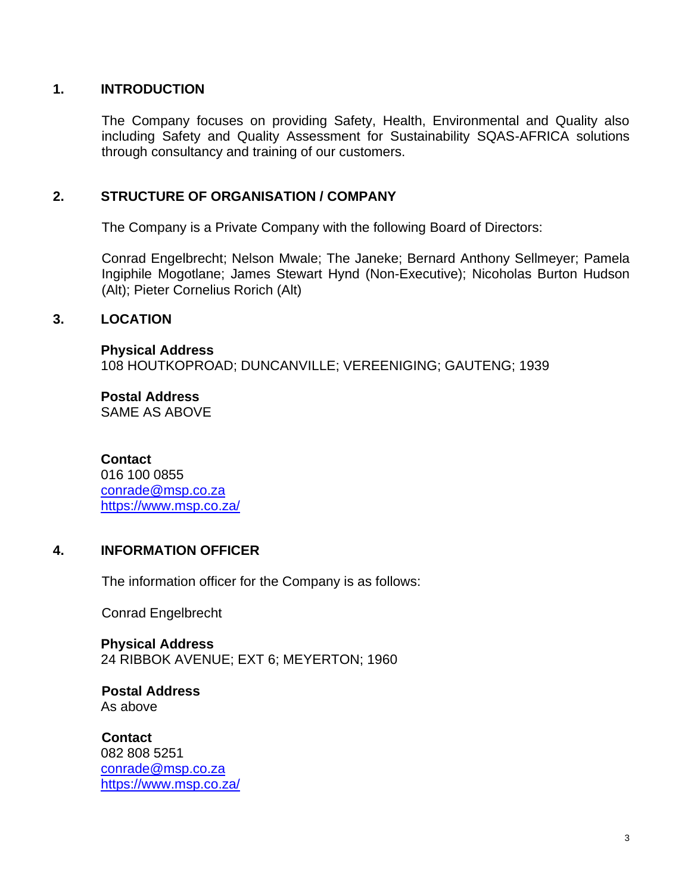#### **1. INTRODUCTION**

The Company focuses on providing Safety, Health, Environmental and Quality also including Safety and Quality Assessment for Sustainability SQAS-AFRICA solutions through consultancy and training of our customers.

#### **2. STRUCTURE OF ORGANISATION / COMPANY**

The Company is a Private Company with the following Board of Directors:

Conrad Engelbrecht; Nelson Mwale; The Janeke; Bernard Anthony Sellmeyer; Pamela Ingiphile Mogotlane; James Stewart Hynd (Non-Executive); Nicoholas Burton Hudson (Alt); Pieter Cornelius Rorich (Alt)

#### **3. LOCATION**

**Physical Address** 108 HOUTKOPROAD; DUNCANVILLE; VEREENIGING; GAUTENG; 1939

**Postal Address** SAME AS ABOVE

#### **Contact**

016 100 0855 [conrade@msp.co.za](mailto:conrade@msp.co.za) <https://www.msp.co.za/>

#### **4. INFORMATION OFFICER**

The information officer for the Company is as follows:

Conrad Engelbrecht

**Physical Address** 24 RIBBOK AVENUE; EXT 6; MEYERTON; 1960

#### **Postal Address** As above

**Contact** 082 808 5251 [conrade@msp.co.za](mailto:conrade@msp.co.za) <https://www.msp.co.za/>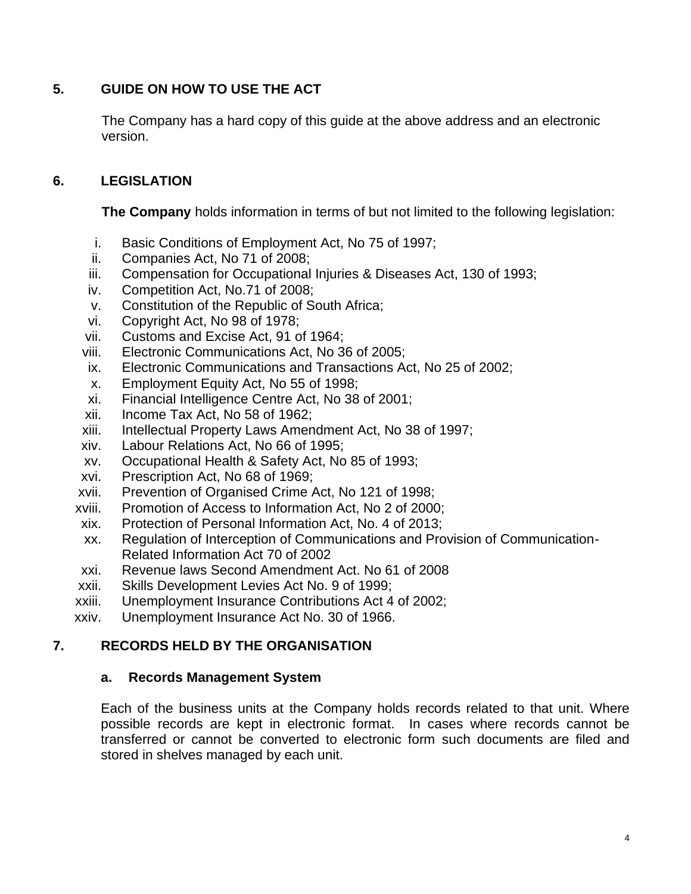# **5. GUIDE ON HOW TO USE THE ACT**

The Company has a hard copy of this guide at the above address and an electronic version.

# **6. LEGISLATION**

**The Company** holds information in terms of but not limited to the following legislation:

- i. Basic Conditions of Employment Act, No 75 of 1997;
- ii. Companies Act, No 71 of 2008;
- iii. Compensation for Occupational Injuries & Diseases Act, 130 of 1993;
- iv. Competition Act, No.71 of 2008;
- v. Constitution of the Republic of South Africa;
- vi. Copyright Act, No 98 of 1978;
- vii. Customs and Excise Act, 91 of 1964;
- viii. Electronic Communications Act, No 36 of 2005;
- ix. Electronic Communications and Transactions Act, No 25 of 2002;
- x. Employment Equity Act, No 55 of 1998;
- xi. Financial Intelligence Centre Act, No 38 of 2001;
- xii. Income Tax Act, No 58 of 1962;
- xiii. Intellectual Property Laws Amendment Act, No 38 of 1997;
- xiv. Labour Relations Act, No 66 of 1995;
- xv. Occupational Health & Safety Act, No 85 of 1993;
- xvi. Prescription Act, No 68 of 1969;
- xvii. Prevention of Organised Crime Act, No 121 of 1998;
- xviii. Promotion of Access to Information Act, No 2 of 2000;
- xix. Protection of Personal Information Act, No. 4 of 2013;
- xx. Regulation of Interception of Communications and Provision of Communication-Related Information Act 70 of 2002
- xxi. Revenue laws Second Amendment Act. No 61 of 2008
- xxii. Skills Development Levies Act No. 9 of 1999;
- xxiii. Unemployment Insurance Contributions Act 4 of 2002;
- xxiv. Unemployment Insurance Act No. 30 of 1966.

# **7. RECORDS HELD BY THE ORGANISATION**

#### **a. Records Management System**

Each of the business units at the Company holds records related to that unit. Where possible records are kept in electronic format. In cases where records cannot be transferred or cannot be converted to electronic form such documents are filed and stored in shelves managed by each unit.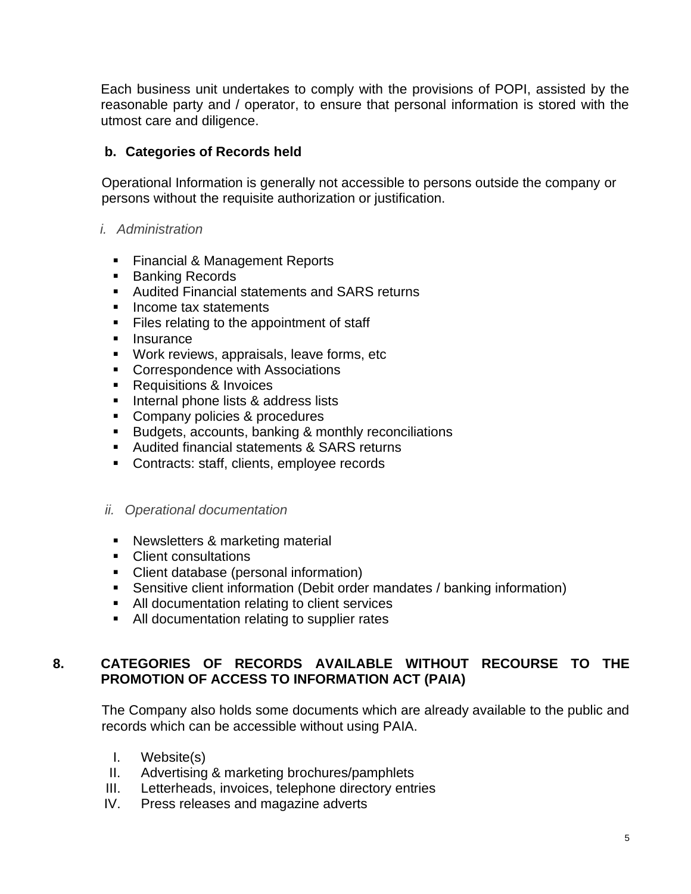Each business unit undertakes to comply with the provisions of POPI, assisted by the reasonable party and / operator, to ensure that personal information is stored with the utmost care and diligence.

# **b. Categories of Records held**

Operational Information is generally not accessible to persons outside the company or persons without the requisite authorization or justification.

#### *i. Administration*

- Financial & Management Reports
- Banking Records
- Audited Financial statements and SARS returns
- Income tax statements
- Files relating to the appointment of staff
- Insurance
- Work reviews, appraisals, leave forms, etc
- Correspondence with Associations
- Requisitions & Invoices
- Internal phone lists & address lists
- Company policies & procedures
- Budgets, accounts, banking & monthly reconciliations
- Audited financial statements & SARS returns
- Contracts: staff, clients, employee records

#### *ii. Operational documentation*

- Newsletters & marketing material
- Client consultations
- Client database (personal information)
- Sensitive client information (Debit order mandates / banking information)
- All documentation relating to client services
- All documentation relating to supplier rates

# **8. CATEGORIES OF RECORDS AVAILABLE WITHOUT RECOURSE TO THE PROMOTION OF ACCESS TO INFORMATION ACT (PAIA)**

The Company also holds some documents which are already available to the public and records which can be accessible without using PAIA.

- I. Website(s)
- II. Advertising & marketing brochures/pamphlets
- III. Letterheads, invoices, telephone directory entries
- IV. Press releases and magazine adverts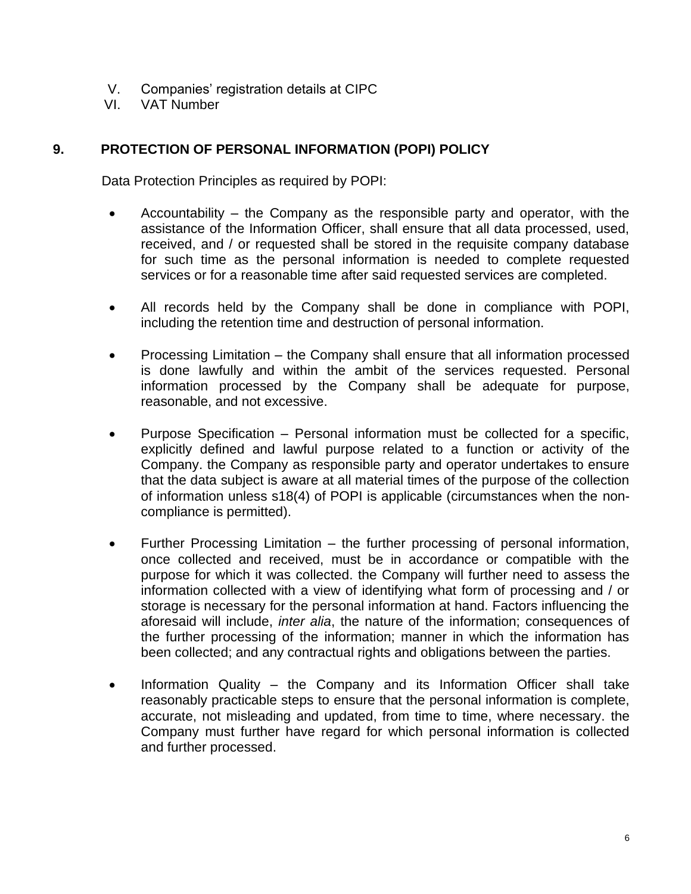- V. Companies' registration details at CIPC
- VI. VAT Number

# **9. PROTECTION OF PERSONAL INFORMATION (POPI) POLICY**

Data Protection Principles as required by POPI:

- Accountability  $-$  the Company as the responsible party and operator, with the assistance of the Information Officer, shall ensure that all data processed, used, received, and / or requested shall be stored in the requisite company database for such time as the personal information is needed to complete requested services or for a reasonable time after said requested services are completed.
- All records held by the Company shall be done in compliance with POPI, including the retention time and destruction of personal information.
- Processing Limitation the Company shall ensure that all information processed is done lawfully and within the ambit of the services requested. Personal information processed by the Company shall be adequate for purpose, reasonable, and not excessive.
- Purpose Specification Personal information must be collected for a specific, explicitly defined and lawful purpose related to a function or activity of the Company. the Company as responsible party and operator undertakes to ensure that the data subject is aware at all material times of the purpose of the collection of information unless s18(4) of POPI is applicable (circumstances when the noncompliance is permitted).
- Further Processing Limitation the further processing of personal information, once collected and received, must be in accordance or compatible with the purpose for which it was collected. the Company will further need to assess the information collected with a view of identifying what form of processing and / or storage is necessary for the personal information at hand. Factors influencing the aforesaid will include, *inter alia*, the nature of the information; consequences of the further processing of the information; manner in which the information has been collected; and any contractual rights and obligations between the parties.
- Information Quality the Company and its Information Officer shall take reasonably practicable steps to ensure that the personal information is complete, accurate, not misleading and updated, from time to time, where necessary. the Company must further have regard for which personal information is collected and further processed.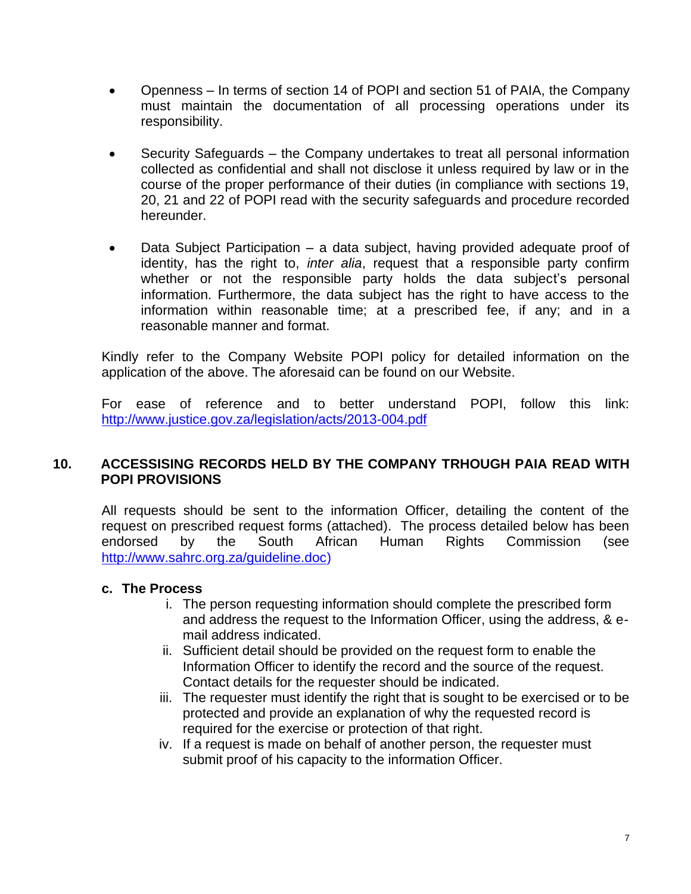- Openness In terms of section 14 of POPI and section 51 of PAIA, the Company must maintain the documentation of all processing operations under its responsibility.
- Security Safeguards the Company undertakes to treat all personal information collected as confidential and shall not disclose it unless required by law or in the course of the proper performance of their duties (in compliance with sections 19, 20, 21 and 22 of POPI read with the security safeguards and procedure recorded hereunder.
- Data Subject Participation a data subject, having provided adequate proof of identity, has the right to, *inter alia*, request that a responsible party confirm whether or not the responsible party holds the data subject's personal information. Furthermore, the data subject has the right to have access to the information within reasonable time; at a prescribed fee, if any; and in a reasonable manner and format.

Kindly refer to the Company Website POPI policy for detailed information on the application of the above. The aforesaid can be found on our Website.

For ease of reference and to better understand POPI, follow this link: <http://www.justice.gov.za/legislation/acts/2013-004.pdf>

#### **10. ACCESSISING RECORDS HELD BY THE COMPANY TRHOUGH PAIA READ WITH POPI PROVISIONS**

All requests should be sent to the information Officer, detailing the content of the request on prescribed request forms (attached). The process detailed below has been endorsed by the South African Human Rights Commission (see [http://www.sahrc.org.za/guideline.doc\)](http://www.sahrc.org.za/guideline.doc)

# **c. The Process**

- i. The person requesting information should complete the prescribed form and address the request to the Information Officer, using the address, & email address indicated.
- ii. Sufficient detail should be provided on the request form to enable the Information Officer to identify the record and the source of the request. Contact details for the requester should be indicated.
- iii. The requester must identify the right that is sought to be exercised or to be protected and provide an explanation of why the requested record is required for the exercise or protection of that right.
- iv. If a request is made on behalf of another person, the requester must submit proof of his capacity to the information Officer.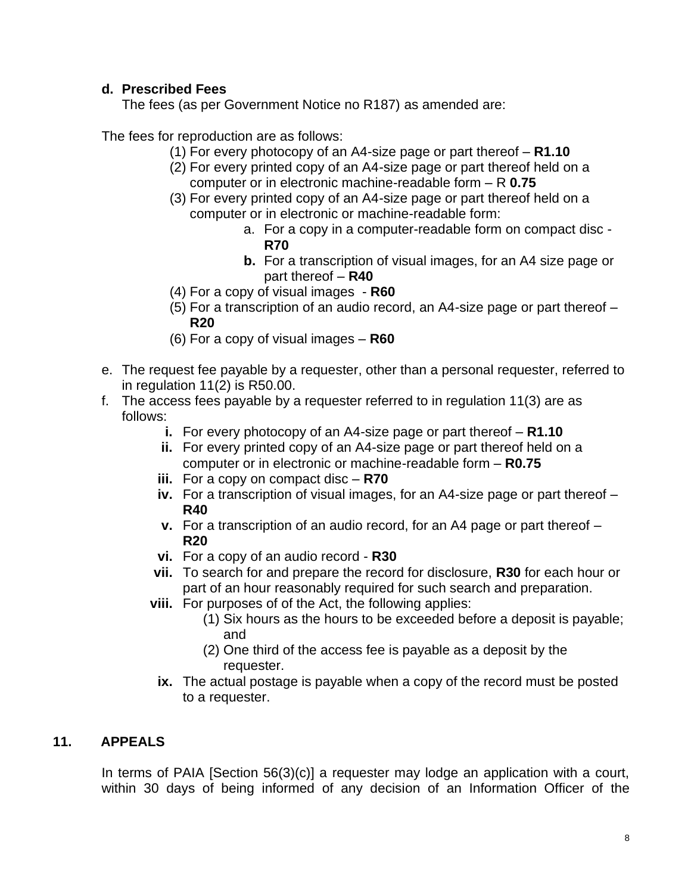# **d. Prescribed Fees**

The fees (as per Government Notice no R187) as amended are:

The fees for reproduction are as follows:

- (1) For every photocopy of an A4-size page or part thereof **R1.10**
- (2) For every printed copy of an A4-size page or part thereof held on a computer or in electronic machine-readable form – R **0.75**
- (3) For every printed copy of an A4-size page or part thereof held on a computer or in electronic or machine-readable form:
	- a. For a copy in a computer-readable form on compact disc **R70**
	- **b.** For a transcription of visual images, for an A4 size page or part thereof – **R40**
- (4) For a copy of visual images **R60**
- (5) For a transcription of an audio record, an A4-size page or part thereof **R20**
- (6) For a copy of visual images **R60**
- e. The request fee payable by a requester, other than a personal requester, referred to in regulation 11(2) is R50.00.
- f. The access fees payable by a requester referred to in regulation 11(3) are as follows:
	- **i.** For every photocopy of an A4-size page or part thereof **R1.10**
	- **ii.** For every printed copy of an A4-size page or part thereof held on a computer or in electronic or machine-readable form – **R0.75**
	- **iii.** For a copy on compact disc **R70**
	- **iv.** For a transcription of visual images, for an A4-size page or part thereof **R40**
	- **v.** For a transcription of an audio record, for an A4 page or part thereof **R20**
	- **vi.** For a copy of an audio record **R30**
	- **vii.** To search for and prepare the record for disclosure, **R30** for each hour or part of an hour reasonably required for such search and preparation.
	- **viii.** For purposes of of the Act, the following applies:
		- (1) Six hours as the hours to be exceeded before a deposit is payable; and
		- (2) One third of the access fee is payable as a deposit by the requester.
		- **ix.** The actual postage is payable when a copy of the record must be posted to a requester.

# **11. APPEALS**

In terms of PAIA [Section 56(3)(c)] a requester may lodge an application with a court, within 30 days of being informed of any decision of an Information Officer of the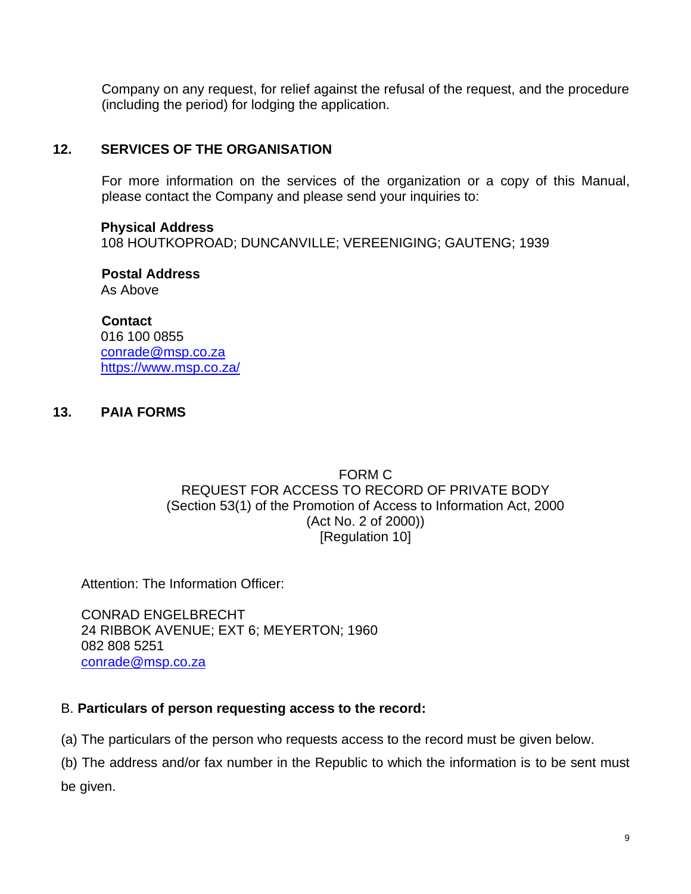Company on any request, for relief against the refusal of the request, and the procedure (including the period) for lodging the application.

#### **12. SERVICES OF THE ORGANISATION**

For more information on the services of the organization or a copy of this Manual, please contact the Company and please send your inquiries to:

#### **Physical Address**

108 HOUTKOPROAD; DUNCANVILLE; VEREENIGING; GAUTENG; 1939

**Postal Address** As Above

**Contact** 016 100 0855 [conrade@msp.co.za](mailto:conrade@msp.co.za) <https://www.msp.co.za/>

#### **13. PAIA FORMS**

#### FORM C REQUEST FOR ACCESS TO RECORD OF PRIVATE BODY (Section 53(1) of the Promotion of Access to Information Act, 2000 (Act No. 2 of 2000)) [Regulation 10]

Attention: The Information Officer:

CONRAD ENGELBRECHT 24 RIBBOK AVENUE; EXT 6; MEYERTON; 1960 082 808 5251 [conrade@msp.co.za](mailto:conrade@msp.co.za)

#### B. **Particulars of person requesting access to the record:**

(a) The particulars of the person who requests access to the record must be given below.

(b) The address and/or fax number in the Republic to which the information is to be sent must

be given.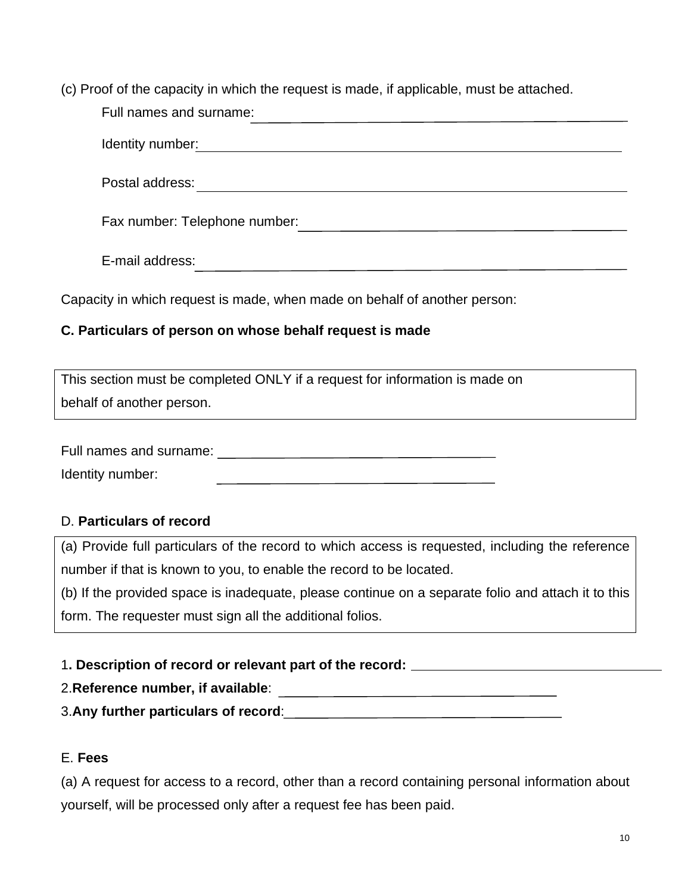(c) Proof of the capacity in which the request is made, if applicable, must be attached.

| Full names and surname:       |  |  |  |  |  |
|-------------------------------|--|--|--|--|--|
| Identity number:              |  |  |  |  |  |
| Postal address:               |  |  |  |  |  |
| Fax number: Telephone number: |  |  |  |  |  |
| E-mail address:               |  |  |  |  |  |

Capacity in which request is made, when made on behalf of another person:

# **C. Particulars of person on whose behalf request is made**

| This section must be completed ONLY if a request for information is made on |
|-----------------------------------------------------------------------------|
| behalf of another person.                                                   |

Full names and surname:

Identity number:

# D. **Particulars of record**

(a) Provide full particulars of the record to which access is requested, including the reference number if that is known to you, to enable the record to be located.

(b) If the provided space is inadequate, please continue on a separate folio and attach it to this form. The requester must sign all the additional folios.

# 1**. Description of record or relevant part of the record:**

# 2.**Reference number, if available**:

3.**Any further particulars of record**:

# E. **Fees**

(a) A request for access to a record, other than a record containing personal information about yourself, will be processed only after a request fee has been paid.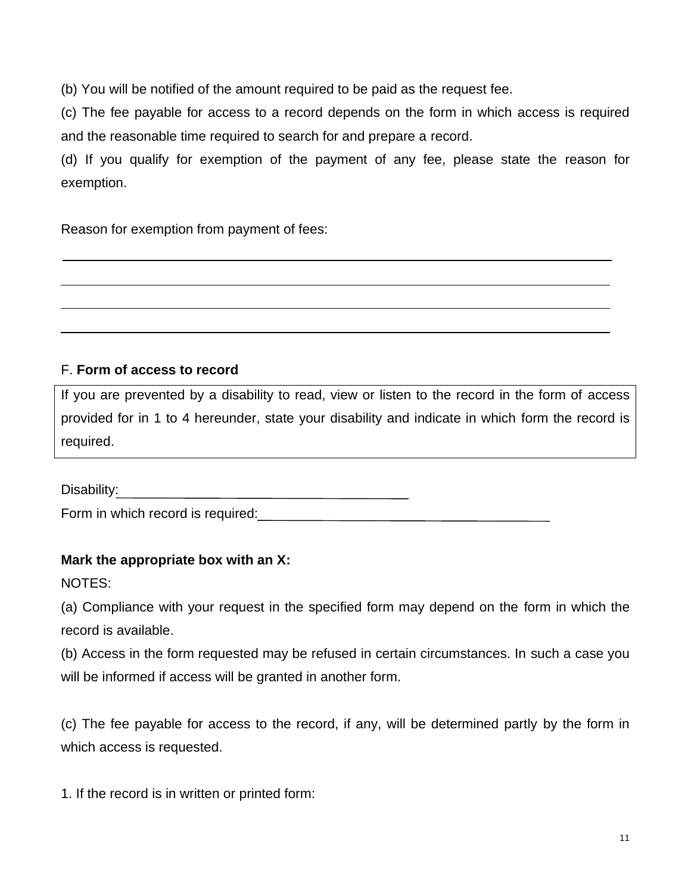(b) You will be notified of the amount required to be paid as the request fee.

(c) The fee payable for access to a record depends on the form in which access is required and the reasonable time required to search for and prepare a record.

(d) If you qualify for exemption of the payment of any fee, please state the reason for exemption.

Reason for exemption from payment of fees:

# F. **Form of access to record**

If you are prevented by a disability to read, view or listen to the record in the form of access provided for in 1 to 4 hereunder, state your disability and indicate in which form the record is required.

Disability:

Form in which record is required:

# **Mark the appropriate box with an X:**

NOTES:

(a) Compliance with your request in the specified form may depend on the form in which the record is available.

(b) Access in the form requested may be refused in certain circumstances. In such a case you will be informed if access will be granted in another form.

(c) The fee payable for access to the record, if any, will be determined partly by the form in which access is requested.

1. If the record is in written or printed form: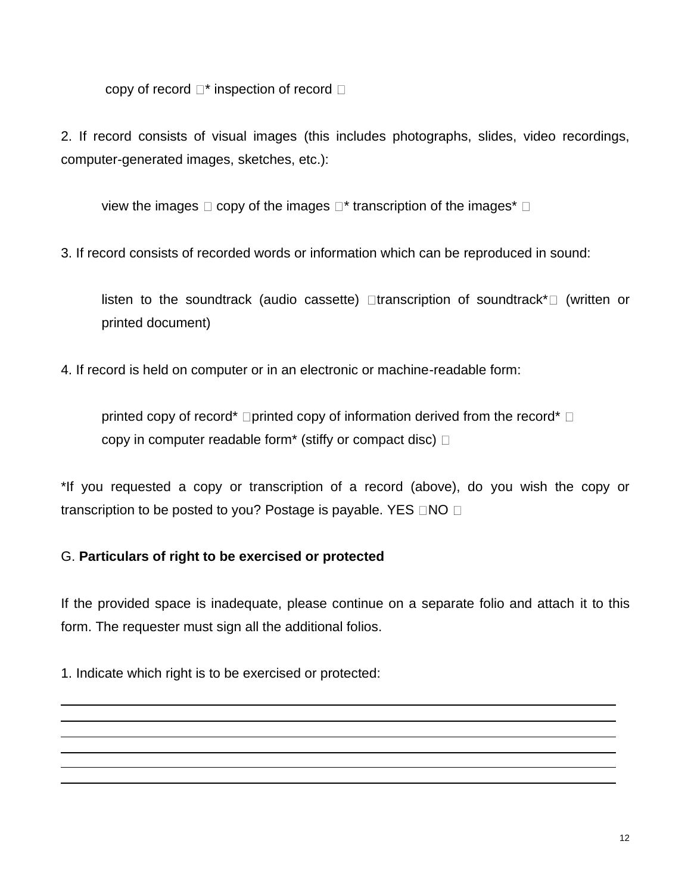copy of record  $\Box^*$  inspection of record  $\Box$ 

2. If record consists of visual images (this includes photographs, slides, video recordings, computer-generated images, sketches, etc.):

view the images  $\Box$  copy of the images  $\Box^*$  transcription of the images<sup>\*</sup>  $\Box$ 

3. If record consists of recorded words or information which can be reproduced in sound:

listen to the soundtrack (audio cassette)  $\Box$ transcription of soundtrack\* $\Box$  (written or printed document)

4. If record is held on computer or in an electronic or machine-readable form:

printed copy of record\*  $\Box$ printed copy of information derived from the record\*  $\Box$ copy in computer readable form<sup>\*</sup> (stiffy or compact disc)  $\Box$ 

\*If you requested a copy or transcription of a record (above), do you wish the copy or transcription to be posted to you? Postage is payable. YES  $\Box$ NO  $\Box$ 

# G. **Particulars of right to be exercised or protected**

If the provided space is inadequate, please continue on a separate folio and attach it to this form. The requester must sign all the additional folios.

1. Indicate which right is to be exercised or protected: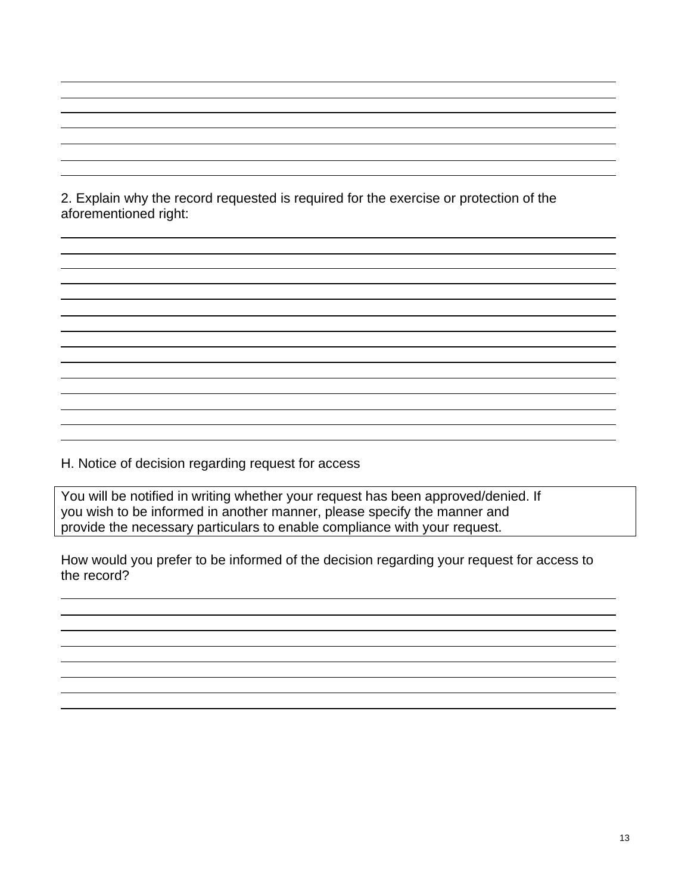2. Explain why the record requested is required for the exercise or protection of the aforementioned right:

H. Notice of decision regarding request for access

You will be notified in writing whether your request has been approved/denied. If you wish to be informed in another manner, please specify the manner and provide the necessary particulars to enable compliance with your request.

How would you prefer to be informed of the decision regarding your request for access to the record?